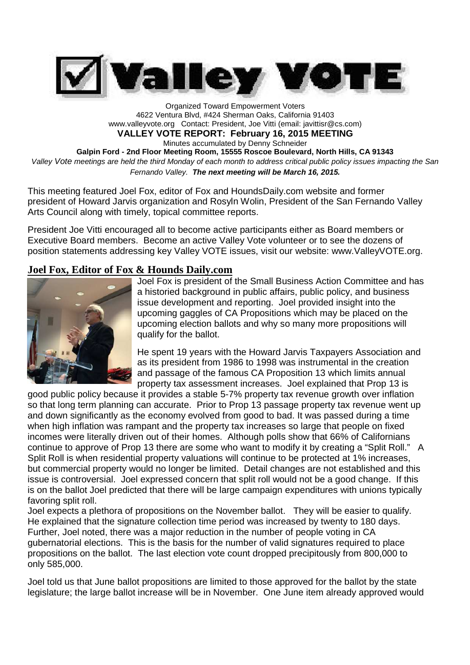

Organized Toward Empowerment Voters 4622 Ventura Blvd, #424 Sherman Oaks, California 91403 www.valleyvote.org Contact: President, Joe Vitti (email: javittisr@cs.com) **VALLEY VOTE REPORT: February 16, 2015 MEETING** Minutes accumulated by Denny Schneider **Galpin Ford - 2nd Floor Meeting Room, 15555 Roscoe Boulevard, North Hills, CA 91343** *Valley Vote meetings are held the third Monday of each month to address critical public policy issues impacting the San Fernando Valley. The next meeting will be March 16, 2015.*

This meeting featured Joel Fox, editor of Fox and HoundsDaily.com website and former president of Howard Jarvis organization and Rosyln Wolin, President of the San Fernando Valley Arts Council along with timely, topical committee reports.

President Joe Vitti encouraged all to become active participants either as Board members or Executive Board members. Become an active Valley Vote volunteer or to see the dozens of position statements addressing key Valley VOTE issues, visit our website: www.ValleyVOTE.org.

### **Joel Fox, Editor of Fox & Hounds Daily.com**



Joel Fox is president of the Small Business Action Committee and has a historied background in public affairs, public policy, and business issue development and reporting. Joel provided insight into the upcoming gaggles of CA Propositions which may be placed on the upcoming election ballots and why so many more propositions will qualify for the ballot.

He spent 19 years with the Howard Jarvis Taxpayers Association and as its president from 1986 to 1998 was instrumental in the creation and passage of the famous CA Proposition 13 which limits annual property tax assessment increases. Joel explained that Prop 13 is

good public policy because it provides a stable 5-7% property tax revenue growth over inflation so that long term planning can accurate. Prior to Prop 13 passage property tax revenue went up and down significantly as the economy evolved from good to bad. It was passed during a time when high inflation was rampant and the property tax increases so large that people on fixed incomes were literally driven out of their homes. Although polls show that 66% of Californians continue to approve of Prop 13 there are some who want to modify it by creating a "Split Roll." A Split Roll is when residential property valuations will continue to be protected at 1% increases, but commercial property would no longer be limited. Detail changes are not established and this issue is controversial. Joel expressed concern that split roll would not be a good change. If this is on the ballot Joel predicted that there will be large campaign expenditures with unions typically favoring split roll.

Joel expects a plethora of propositions on the November ballot. They will be easier to qualify. He explained that the signature collection time period was increased by twenty to 180 days. Further, Joel noted, there was a major reduction in the number of people voting in CA gubernatorial elections. This is the basis for the number of valid signatures required to place propositions on the ballot. The last election vote count dropped precipitously from 800,000 to only 585,000.

Joel told us that June ballot propositions are limited to those approved for the ballot by the state legislature; the large ballot increase will be in November. One June item already approved would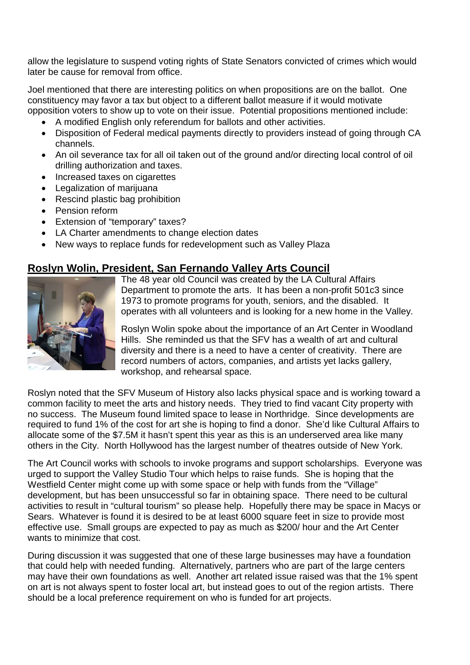allow the legislature to suspend voting rights of State Senators convicted of crimes which would later be cause for removal from office.

Joel mentioned that there are interesting politics on when propositions are on the ballot. One constituency may favor a tax but object to a different ballot measure if it would motivate opposition voters to show up to vote on their issue. Potential propositions mentioned include:

- A modified English only referendum for ballots and other activities.
- Disposition of Federal medical payments directly to providers instead of going through CA channels.
- An oil severance tax for all oil taken out of the ground and/or directing local control of oil drilling authorization and taxes.
- Increased taxes on cigarettes
- Legalization of marijuana
- Rescind plastic bag prohibition
- Pension reform
- Extension of "temporary" taxes?
- LA Charter amendments to change election dates
- New ways to replace funds for redevelopment such as Valley Plaza

# **Roslyn Wolin, President, San Fernando Valley Arts Council**



The 48 year old Council was created by the LA Cultural Affairs Department to promote the arts. It has been a non-profit 501c3 since 1973 to promote programs for youth, seniors, and the disabled. It operates with all volunteers and is looking for a new home in the Valley.

Roslyn Wolin spoke about the importance of an Art Center in Woodland Hills. She reminded us that the SFV has a wealth of art and cultural diversity and there is a need to have a center of creativity. There are record numbers of actors, companies, and artists yet lacks gallery, workshop, and rehearsal space.

Roslyn noted that the SFV Museum of History also lacks physical space and is working toward a common facility to meet the arts and history needs. They tried to find vacant City property with no success. The Museum found limited space to lease in Northridge. Since developments are required to fund 1% of the cost for art she is hoping to find a donor. She'd like Cultural Affairs to allocate some of the \$7.5M it hasn't spent this year as this is an underserved area like many others in the City. North Hollywood has the largest number of theatres outside of New York.

The Art Council works with schools to invoke programs and support scholarships. Everyone was urged to support the Valley Studio Tour which helps to raise funds. She is hoping that the Westfield Center might come up with some space or help with funds from the "Village" development, but has been unsuccessful so far in obtaining space. There need to be cultural activities to result in "cultural tourism" so please help. Hopefully there may be space in Macys or Sears. Whatever is found it is desired to be at least 6000 square feet in size to provide most effective use. Small groups are expected to pay as much as \$200/ hour and the Art Center wants to minimize that cost.

During discussion it was suggested that one of these large businesses may have a foundation that could help with needed funding. Alternatively, partners who are part of the large centers may have their own foundations as well. Another art related issue raised was that the 1% spent on art is not always spent to foster local art, but instead goes to out of the region artists. There should be a local preference requirement on who is funded for art projects.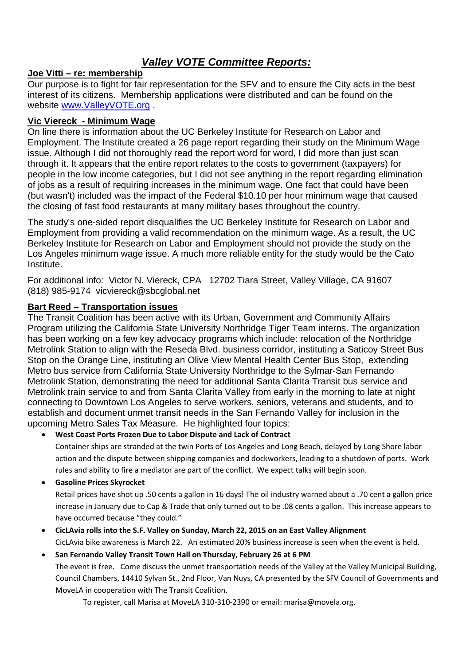# *Valley VOTE Committee Reports:*

### **Joe Vitti – re: membership**

Our purpose is to fight for fair representation for the SFV and to ensure the City acts in the best interest of its citizens. Membership applications were distributed and can be found on the website www.ValleyVOTE.org .

## **Vic Viereck - Minimum Wage**

On line there is information about the UC Berkeley Institute for Research on Labor and Employment. The Institute created a 26 page report regarding their study on the Minimum Wage issue. Although I did not thoroughly read the report word for word, I did more than just scan through it. It appears that the entire report relates to the costs to government (taxpayers) for people in the low income categories, but I did not see anything in the report regarding elimination of jobs as a result of requiring increases in the minimum wage. One fact that could have been (but wasn't) included was the impact of the Federal \$10.10 per hour minimum wage that caused the closing of fast food restaurants at many military bases throughout the country.

The study's one-sided report disqualifies the UC Berkeley Institute for Research on Labor and Employment from providing a valid recommendation on the minimum wage. As a result, the UC Berkeley Institute for Research on Labor and Employment should not provide the study on the Los Angeles minimum wage issue. A much more reliable entity for the study would be the Cato Institute.

For additional info: Victor N. Viereck, CPA 12702 Tiara Street, Valley Village, CA 91607 (818) 985-9174 vicviereck@sbcglobal.net

#### **Bart Reed – Transportation issues**

The Transit Coalition has been active with its Urban, Government and Community Affairs Program utilizing the California State University Northridge Tiger Team interns. The organization has been working on a few key advocacy programs which include: relocation of the Northridge Metrolink Station to align with the Reseda Blvd. business corridor, instituting a Saticoy Street Bus Stop on the Orange Line, instituting an Olive View Mental Health Center Bus Stop, extending Metro bus service from California State University Northridge to the Sylmar-San Fernando Metrolink Station, demonstrating the need for additional Santa Clarita Transit bus service and Metrolink train service to and from Santa Clarita Valley from early in the morning to late at night connecting to Downtown Los Angeles to serve workers, seniors, veterans and students, and to establish and document unmet transit needs in the San Fernando Valley for inclusion in the upcoming Metro Sales Tax Measure. He highlighted four topics:

#### **West Coast Ports Frozen Due to Labor Dispute and Lack of Contract**

Container ships are stranded at the twin Ports of Los Angeles and Long Beach, delayed by Long Shore labor action and the dispute between shipping companies and dockworkers, leading to a shutdown of ports. Work rules and ability to fire a mediator are part of the conflict. We expect talks will begin soon.

**Gasoline Prices Skyrocket**

Retail prices have shot up .50 cents a gallon in 16 days! The oil industry warned about a .70 cent a gallon price increase in January due to Cap & Trade that only turned out to be .08 cents a gallon. This increase appears to have occurred because "they could."

- **CicLAvia rolls into the S.F. Valley on Sunday, March 22, 2015 on an East Valley Alignment** CicLAvia bike awareness is March 22. An estimated 20% business increase is seen when the event is held.
- **San Fernando Valley Transit Town Hall on Thursday, February 26 at 6 PM** The event is free. Come discuss the unmet transportation needs of the Valley at the Valley Municipal Building, Council Chambers, 14410 Sylvan St., 2nd Floor, Van Nuys, CA presented by the SFV Council of Governments and MoveLA in cooperation with The Transit Coalition.

To register, call Marisa at MoveLA 310-310-2390 or email: marisa@movela.org.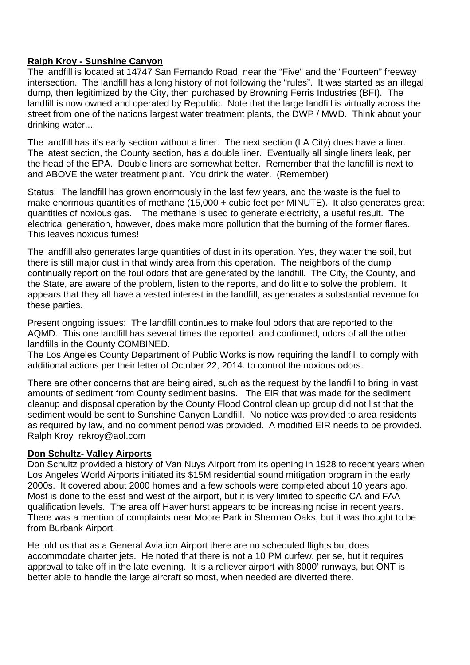#### **Ralph Kroy - Sunshine Canyon**

The landfill is located at 14747 San Fernando Road, near the "Five" and the "Fourteen" freeway intersection. The landfill has a long history of not following the "rules". It was started as an illegal dump, then legitimized by the City, then purchased by Browning Ferris Industries (BFI). The landfill is now owned and operated by Republic. Note that the large landfill is virtually across the street from one of the nations largest water treatment plants, the DWP / MWD. Think about your drinking water....

The landfill has it's early section without a liner. The next section (LA City) does have a liner. The latest section, the County section, has a double liner. Eventually all single liners leak, per the head of the EPA. Double liners are somewhat better. Remember that the landfill is next to and ABOVE the water treatment plant. You drink the water. (Remember)

Status: The landfill has grown enormously in the last few years, and the waste is the fuel to make enormous quantities of methane (15,000 + cubic feet per MINUTE). It also generates great quantities of noxious gas. The methane is used to generate electricity, a useful result. The electrical generation, however, does make more pollution that the burning of the former flares. This leaves noxious fumes!

The landfill also generates large quantities of dust in its operation. Yes, they water the soil, but there is still major dust in that windy area from this operation. The neighbors of the dump continually report on the foul odors that are generated by the landfill. The City, the County, and the State, are aware of the problem, listen to the reports, and do little to solve the problem. It appears that they all have a vested interest in the landfill, as generates a substantial revenue for these parties.

Present ongoing issues: The landfill continues to make foul odors that are reported to the AQMD. This one landfill has several times the reported, and confirmed, odors of all the other landfills in the County COMBINED.

The Los Angeles County Department of Public Works is now requiring the landfill to comply with additional actions per their letter of October 22, 2014. to control the noxious odors.

There are other concerns that are being aired, such as the request by the landfill to bring in vast amounts of sediment from County sediment basins. The EIR that was made for the sediment cleanup and disposal operation by the County Flood Control clean up group did not list that the sediment would be sent to Sunshine Canyon Landfill. No notice was provided to area residents as required by law, and no comment period was provided. A modified EIR needs to be provided. Ralph Kroy rekroy@aol.com

#### **Don Schultz- Valley Airports**

Don Schultz provided a history of Van Nuys Airport from its opening in 1928 to recent years when Los Angeles World Airports initiated its \$15M residential sound mitigation program in the early 2000s. It covered about 2000 homes and a few schools were completed about 10 years ago. Most is done to the east and west of the airport, but it is very limited to specific CA and FAA qualification levels. The area off Havenhurst appears to be increasing noise in recent years. There was a mention of complaints near Moore Park in Sherman Oaks, but it was thought to be from Burbank Airport.

He told us that as a General Aviation Airport there are no scheduled flights but does accommodate charter jets. He noted that there is not a 10 PM curfew, per se, but it requires approval to take off in the late evening. It is a reliever airport with 8000' runways, but ONT is better able to handle the large aircraft so most, when needed are diverted there.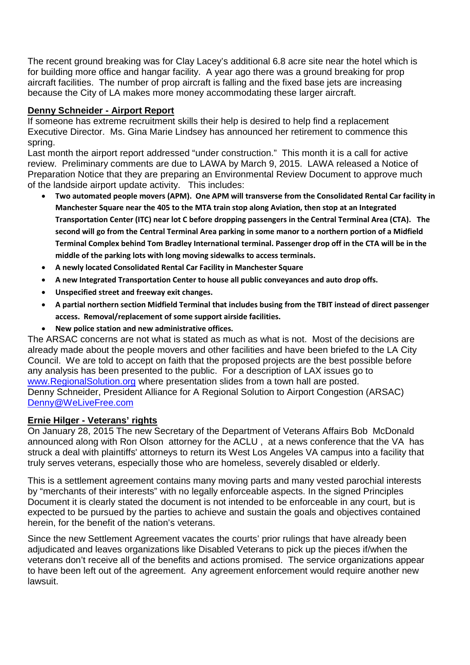The recent ground breaking was for Clay Lacey's additional 6.8 acre site near the hotel which is for building more office and hangar facility. A year ago there was a ground breaking for prop aircraft facilities. The number of prop aircraft is falling and the fixed base jets are increasing because the City of LA makes more money accommodating these larger aircraft.

#### **Denny Schneider - Airport Report**

If someone has extreme recruitment skills their help is desired to help find a replacement Executive Director. Ms. Gina Marie Lindsey has announced her retirement to commence this spring.

Last month the airport report addressed "under construction." This month it is a call for active review. Preliminary comments are due to LAWA by March 9, 2015. LAWA released a Notice of Preparation Notice that they are preparing an Environmental Review Document to approve much of the landside airport update activity. This includes:

- **Two automated people movers (APM). One APM will transverse from the Consolidated Rental Car facility in Manchester Square near the 405 to the MTA train stop along Aviation, then stop at an Integrated Transportation Center (ITC) near lot C before dropping passengers in the Central Terminal Area (CTA). The second will go from the Central Terminal Area parking in some manor to a northern portion of a Midfield Terminal Complex behind Tom Bradley International terminal. Passenger drop off in the CTA will be in the middle of the parking lots with long moving sidewalks to access terminals.**
- **A newly located Consolidated Rental Car Facility in Manchester Square**
- **A new Integrated Transportation Center to house all public conveyances and auto drop offs.**
- **Unspecified street and freeway exit changes.**
- **A partial northern section Midfield Terminal that includes busing from the TBIT instead of direct passenger access. Removal/replacement of some support airside facilities.**
- **New police station and new administrative offices.**

The ARSAC concerns are not what is stated as much as what is not. Most of the decisions are already made about the people movers and other facilities and have been briefed to the LA City Council. We are told to accept on faith that the proposed projects are the best possible before any analysis has been presented to the public. For a description of LAX issues go to www.RegionalSolution.org where presentation slides from a town hall are posted. Denny Schneider, President Alliance for A Regional Solution to Airport Congestion (ARSAC) Denny@WeLiveFree.com

#### **Ernie Hilger - Veterans' rights**

On January 28, 2015 The new Secretary of the Department of Veterans Affairs Bob McDonald announced along with Ron Olson attorney for the ACLU , at a news conference that the VA has struck a deal with plaintiffs' attorneys to return its West Los Angeles VA campus into a facility that truly serves veterans, especially those who are homeless, severely disabled or elderly.

This is a settlement agreement contains many moving parts and many vested parochial interests by "merchants of their interests" with no legally enforceable aspects. In the signed Principles Document it is clearly stated the document is not intended to be enforceable in any court, but is expected to be pursued by the parties to achieve and sustain the goals and objectives contained herein, for the benefit of the nation's veterans.

Since the new Settlement Agreement vacates the courts' prior rulings that have already been adjudicated and leaves organizations like Disabled Veterans to pick up the pieces if/when the veterans don't receive all of the benefits and actions promised. The service organizations appear to have been left out of the agreement. Any agreement enforcement would require another new lawsuit.